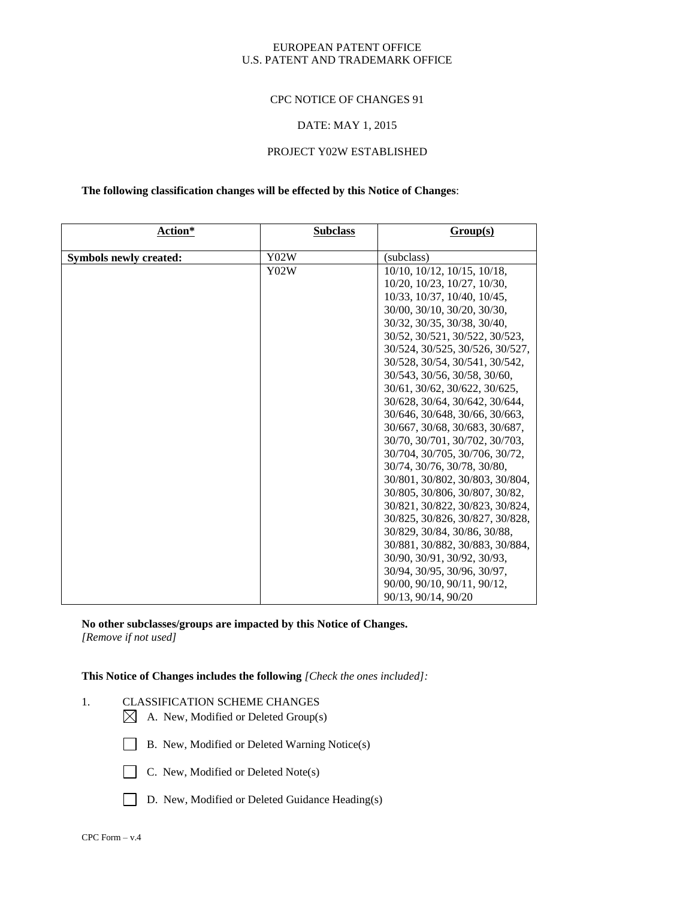#### EUROPEAN PATENT OFFICE U.S. PATENT AND TRADEMARK OFFICE

#### CPC NOTICE OF CHANGES 91

#### DATE: MAY 1, 2015

### PROJECT Y02W ESTABLISHED

### **The following classification changes will be effected by this Notice of Changes**:

| Action*                | <b>Subclass</b> | Group(s)                        |
|------------------------|-----------------|---------------------------------|
| Symbols newly created: | Y02W            | (subclass)                      |
|                        | Y02W            | 10/10, 10/12, 10/15, 10/18,     |
|                        |                 | 10/20, 10/23, 10/27, 10/30,     |
|                        |                 | 10/33, 10/37, 10/40, 10/45,     |
|                        |                 | 30/00, 30/10, 30/20, 30/30,     |
|                        |                 | 30/32, 30/35, 30/38, 30/40,     |
|                        |                 | 30/52, 30/521, 30/522, 30/523,  |
|                        |                 | 30/524, 30/525, 30/526, 30/527, |
|                        |                 | 30/528, 30/54, 30/541, 30/542,  |
|                        |                 | 30/543, 30/56, 30/58, 30/60,    |
|                        |                 | 30/61, 30/62, 30/622, 30/625,   |
|                        |                 | 30/628, 30/64, 30/642, 30/644,  |
|                        |                 | 30/646, 30/648, 30/66, 30/663,  |
|                        |                 | 30/667, 30/68, 30/683, 30/687,  |
|                        |                 | 30/70, 30/701, 30/702, 30/703,  |
|                        |                 | 30/704, 30/705, 30/706, 30/72,  |
|                        |                 | 30/74, 30/76, 30/78, 30/80,     |
|                        |                 | 30/801, 30/802, 30/803, 30/804, |
|                        |                 | 30/805, 30/806, 30/807, 30/82,  |
|                        |                 | 30/821, 30/822, 30/823, 30/824, |
|                        |                 | 30/825, 30/826, 30/827, 30/828, |
|                        |                 | 30/829, 30/84, 30/86, 30/88,    |
|                        |                 | 30/881, 30/882, 30/883, 30/884, |
|                        |                 | 30/90, 30/91, 30/92, 30/93,     |
|                        |                 | 30/94, 30/95, 30/96, 30/97,     |
|                        |                 | 90/00, 90/10, 90/11, 90/12,     |
|                        |                 | 90/13, 90/14, 90/20             |

**No other subclasses/groups are impacted by this Notice of Changes.** *[Remove if not used]*

**This Notice of Changes includes the following** *[Check the ones included]:*

- 1. CLASSIFICATION SCHEME CHANGES
	- $\boxtimes$  A. New, Modified or Deleted Group(s)
	- B. New, Modified or Deleted Warning Notice(s)
	-
	- $\Box$  C. New, Modified or Deleted Note(s)
	- D. New, Modified or Deleted Guidance Heading(s)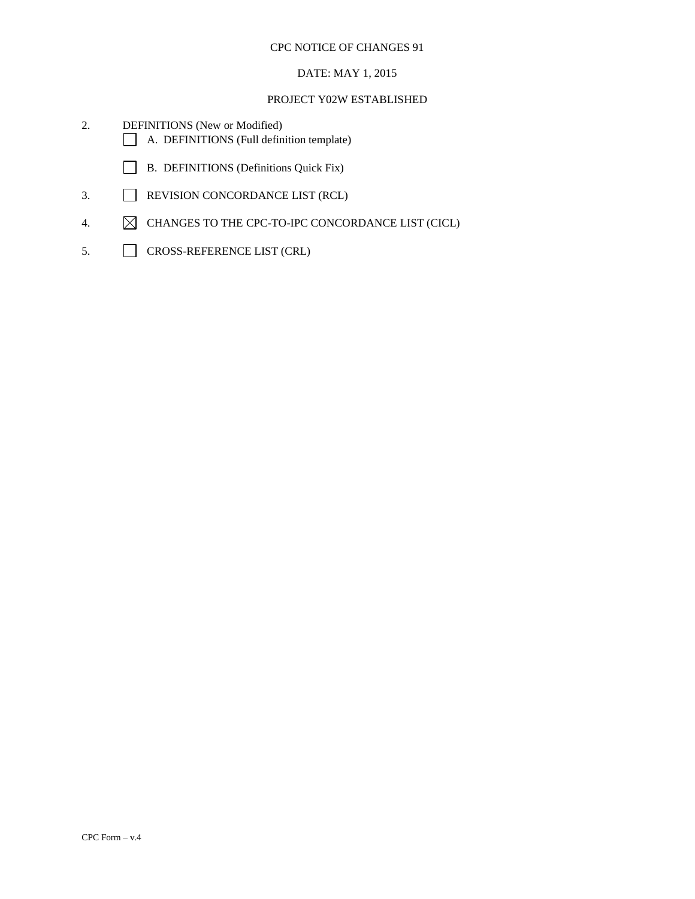# DATE: MAY 1, 2015

- 2. DEFINITIONS (New or Modified) A. DEFINITIONS (Full definition template)
	- B. DEFINITIONS (Definitions Quick Fix)
- 3. REVISION CONCORDANCE LIST (RCL)
- 4.  $\boxtimes$  CHANGES TO THE CPC-TO-IPC CONCORDANCE LIST (CICL)
- 5. CROSS-REFERENCE LIST (CRL)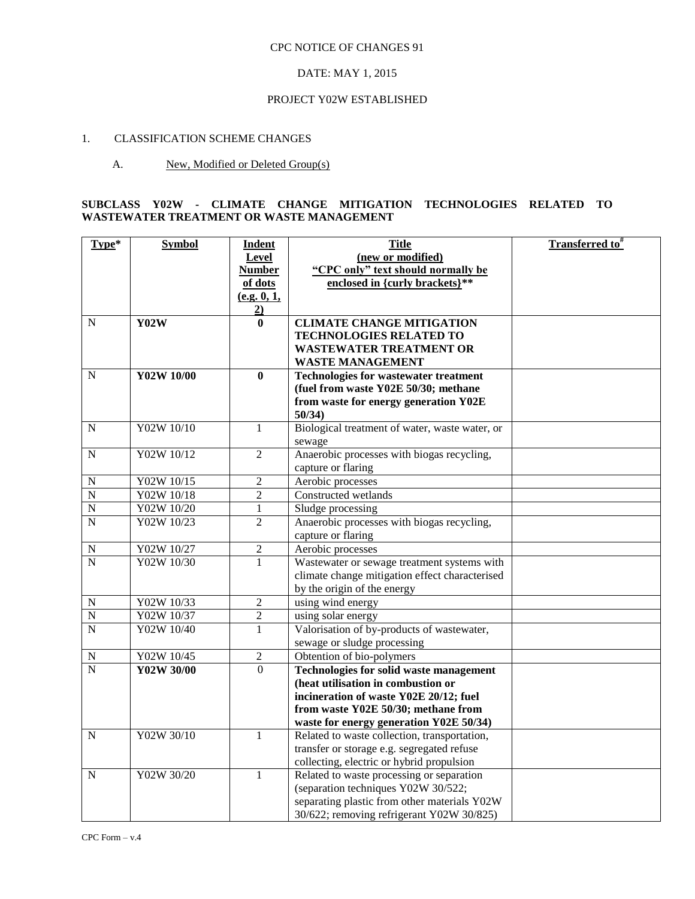### DATE: MAY 1, 2015

#### PROJECT Y02W ESTABLISHED

# 1. CLASSIFICATION SCHEME CHANGES

# A. New, Modified or Deleted Group(s)

# **SUBCLASS Y02W - CLIMATE CHANGE MITIGATION TECHNOLOGIES RELATED TO WASTEWATER TREATMENT OR WASTE MANAGEMENT**

| Type*                   | <b>Symbol</b> | <b>Indent</b>  | <b>Title</b>                                         | Transferred to# |
|-------------------------|---------------|----------------|------------------------------------------------------|-----------------|
|                         |               | Level          | (new or modified)                                    |                 |
|                         |               | <b>Number</b>  | "CPC only" text should normally be                   |                 |
|                         |               | of dots        | enclosed in {curly brackets}**                       |                 |
|                         |               | (e.g. 0, 1,    |                                                      |                 |
|                         |               | $\overline{2}$ |                                                      |                 |
| $\mathbf N$             | Y02W          | $\mathbf{0}$   | <b>CLIMATE CHANGE MITIGATION</b>                     |                 |
|                         |               |                | <b>TECHNOLOGIES RELATED TO</b>                       |                 |
|                         |               |                | <b>WASTEWATER TREATMENT OR</b>                       |                 |
|                         |               |                | <b>WASTE MANAGEMENT</b>                              |                 |
| $\mathbf N$             | Y02W 10/00    | $\bf{0}$       | <b>Technologies for wastewater treatment</b>         |                 |
|                         |               |                | (fuel from waste Y02E 50/30; methane                 |                 |
|                         |               |                | from waste for energy generation Y02E                |                 |
|                         |               |                | 50/34)                                               |                 |
| $\mathbf N$             | Y02W 10/10    | $\mathbf{1}$   | Biological treatment of water, waste water, or       |                 |
| $\mathbf N$             | Y02W 10/12    | $\overline{2}$ | sewage<br>Anaerobic processes with biogas recycling, |                 |
|                         |               |                | capture or flaring                                   |                 |
| ${\bf N}$               | Y02W 10/15    | $\overline{2}$ | Aerobic processes                                    |                 |
| $\overline{N}$          | Y02W 10/18    | $\sqrt{2}$     | Constructed wetlands                                 |                 |
| ${\bf N}$               | Y02W 10/20    | $\mathbf{1}$   | Sludge processing                                    |                 |
| $\overline{N}$          | Y02W 10/23    | $\overline{2}$ | Anaerobic processes with biogas recycling,           |                 |
|                         |               |                | capture or flaring                                   |                 |
| N                       | Y02W 10/27    | $\overline{2}$ | Aerobic processes                                    |                 |
| $\overline{N}$          | Y02W 10/30    | $\mathbf{1}$   | Wastewater or sewage treatment systems with          |                 |
|                         |               |                | climate change mitigation effect characterised       |                 |
|                         |               |                | by the origin of the energy                          |                 |
| ${\bf N}$               | Y02W 10/33    | $\overline{2}$ | using wind energy                                    |                 |
| $\overline{N}$          | Y02W 10/37    | $\overline{2}$ | using solar energy                                   |                 |
| $\overline{N}$          | Y02W 10/40    | $\mathbf{1}$   | Valorisation of by-products of wastewater,           |                 |
|                         |               |                | sewage or sludge processing                          |                 |
| $\mathbf N$             | Y02W 10/45    | $\overline{2}$ | Obtention of bio-polymers                            |                 |
| $\overline{\mathbf{N}}$ | Y02W 30/00    | $\overline{0}$ | <b>Technologies for solid waste management</b>       |                 |
|                         |               |                | (heat utilisation in combustion or                   |                 |
|                         |               |                | incineration of waste Y02E 20/12; fuel               |                 |
|                         |               |                | from waste Y02E 50/30; methane from                  |                 |
|                         |               |                | waste for energy generation Y02E 50/34)              |                 |
| N                       | Y02W 30/10    | $\mathbf{1}$   | Related to waste collection, transportation,         |                 |
|                         |               |                | transfer or storage e.g. segregated refuse           |                 |
|                         |               |                | collecting, electric or hybrid propulsion            |                 |
| $\mathbf N$             | Y02W 30/20    | $\mathbf{1}$   | Related to waste processing or separation            |                 |
|                         |               |                | (separation techniques Y02W 30/522;                  |                 |
|                         |               |                | separating plastic from other materials Y02W         |                 |
|                         |               |                | 30/622; removing refrigerant Y02W 30/825)            |                 |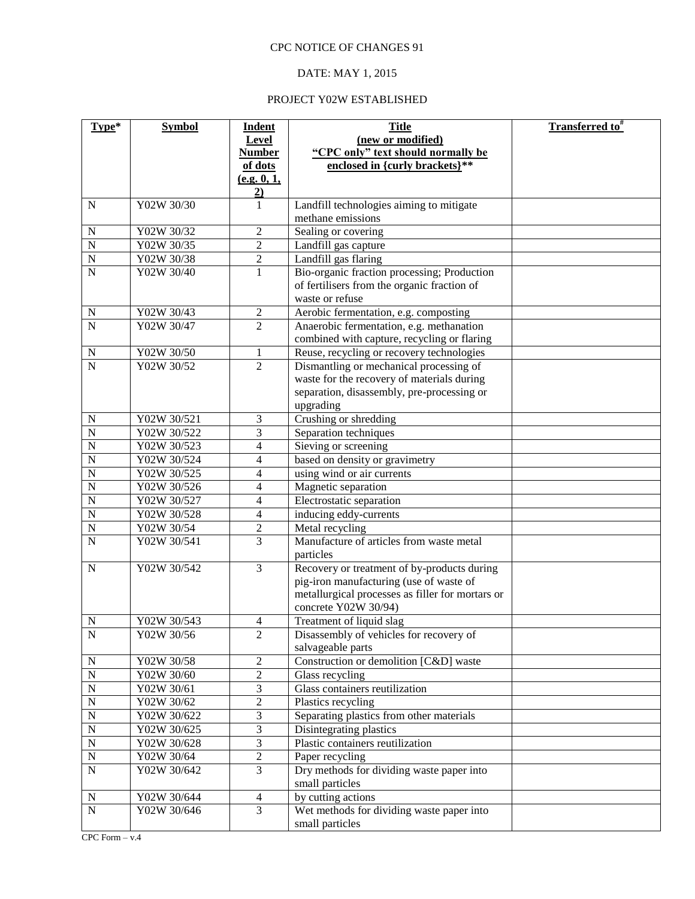# DATE: MAY 1, 2015

| Type*              | <b>Symbol</b> | <b>Indent</b>  | <b>Title</b>                                                 | <b>Transferred to</b> # |
|--------------------|---------------|----------------|--------------------------------------------------------------|-------------------------|
|                    |               | Level          | (new or modified)                                            |                         |
|                    |               | <b>Number</b>  | "CPC only" text should normally be                           |                         |
|                    |               | of dots        | enclosed in {curly brackets}**                               |                         |
|                    |               | (e.g. 0, 1,    |                                                              |                         |
|                    |               | $\frac{2}{1}$  |                                                              |                         |
| ${\bf N}$          | Y02W 30/30    |                | Landfill technologies aiming to mitigate                     |                         |
|                    |               |                | methane emissions                                            |                         |
| $\mathbf N$        | Y02W 30/32    | $\overline{2}$ | Sealing or covering                                          |                         |
| $\overline{N}$     | Y02W 30/35    | $\overline{c}$ | Landfill gas capture                                         |                         |
| $\overline{N}$     | Y02W 30/38    | 2              | Landfill gas flaring                                         |                         |
| $\overline{N}$     | Y02W 30/40    | 1              | Bio-organic fraction processing; Production                  |                         |
|                    |               |                | of fertilisers from the organic fraction of                  |                         |
|                    |               |                | waste or refuse                                              |                         |
| ${\bf N}$          | Y02W 30/43    | $\sqrt{2}$     | Aerobic fermentation, e.g. composting                        |                         |
| $\mathbf N$        | Y02W 30/47    | $\overline{2}$ | Anaerobic fermentation, e.g. methanation                     |                         |
|                    |               |                | combined with capture, recycling or flaring                  |                         |
| $\mathbf N$        | Y02W 30/50    | $\mathbf{1}$   | Reuse, recycling or recovery technologies                    |                         |
| $\overline{N}$     | Y02W 30/52    | $\overline{2}$ | Dismantling or mechanical processing of                      |                         |
|                    |               |                | waste for the recovery of materials during                   |                         |
|                    |               |                | separation, disassembly, pre-processing or<br>upgrading      |                         |
| N                  | Y02W 30/521   | 3              | Crushing or shredding                                        |                         |
| $\overline{N}$     | Y02W 30/522   | 3              | Separation techniques                                        |                         |
| $\overline{N}$     | Y02W 30/523   | 4              | Sieving or screening                                         |                         |
| $\overline{N}$     | Y02W 30/524   | 4              | based on density or gravimetry                               |                         |
| $\overline{N}$     | Y02W 30/525   | 4              | using wind or air currents                                   |                         |
| $\overline{N}$     | Y02W 30/526   | 4              | Magnetic separation                                          |                         |
| $\overline{N}$     | Y02W 30/527   | 4              | Electrostatic separation                                     |                         |
| $\overline{N}$     | Y02W 30/528   | 4              | inducing eddy-currents                                       |                         |
| $\overline{N}$     | Y02W 30/54    | 2              | Metal recycling                                              |                         |
| $\overline{\rm N}$ | Y02W 30/541   | $\overline{3}$ | Manufacture of articles from waste metal                     |                         |
|                    |               |                | particles                                                    |                         |
| ${\bf N}$          | Y02W 30/542   | $\overline{3}$ | Recovery or treatment of by-products during                  |                         |
|                    |               |                | pig-iron manufacturing (use of waste of                      |                         |
|                    |               |                | metallurgical processes as filler for mortars or             |                         |
|                    |               |                | concrete Y02W 30/94)                                         |                         |
| N                  | Y02W 30/543   | 4              | Treatment of liquid slag                                     |                         |
| $\mathbf N$        | Y02W 30/56    | $\mathbf{2}$   | Disassembly of vehicles for recovery of<br>salvageable parts |                         |
| ${\bf N}$          | Y02W 30/58    | $\overline{2}$ | Construction or demolition [C&D] waste                       |                         |
| $\mathbf N$        | Y02W 30/60    | $\overline{2}$ | Glass recycling                                              |                         |
| $\mathbf N$        | Y02W 30/61    | 3              | Glass containers reutilization                               |                         |
| $\mathbf N$        | Y02W 30/62    | $\overline{2}$ | Plastics recycling                                           |                         |
| $\mathbf N$        | Y02W 30/622   | 3              | Separating plastics from other materials                     |                         |
| $\mathbf N$        | Y02W 30/625   | 3              | Disintegrating plastics                                      |                         |
| $\mathbf N$        | Y02W 30/628   | 3              | Plastic containers reutilization                             |                         |
| ${\bf N}$          | Y02W 30/64    | $\overline{c}$ | Paper recycling                                              |                         |
| ${\bf N}$          | Y02W 30/642   | 3              | Dry methods for dividing waste paper into                    |                         |
|                    |               |                | small particles                                              |                         |
| N                  | Y02W 30/644   | $\overline{4}$ | by cutting actions                                           |                         |
| ${\bf N}$          | Y02W 30/646   | $\overline{3}$ | Wet methods for dividing waste paper into                    |                         |
|                    |               |                | small particles                                              |                         |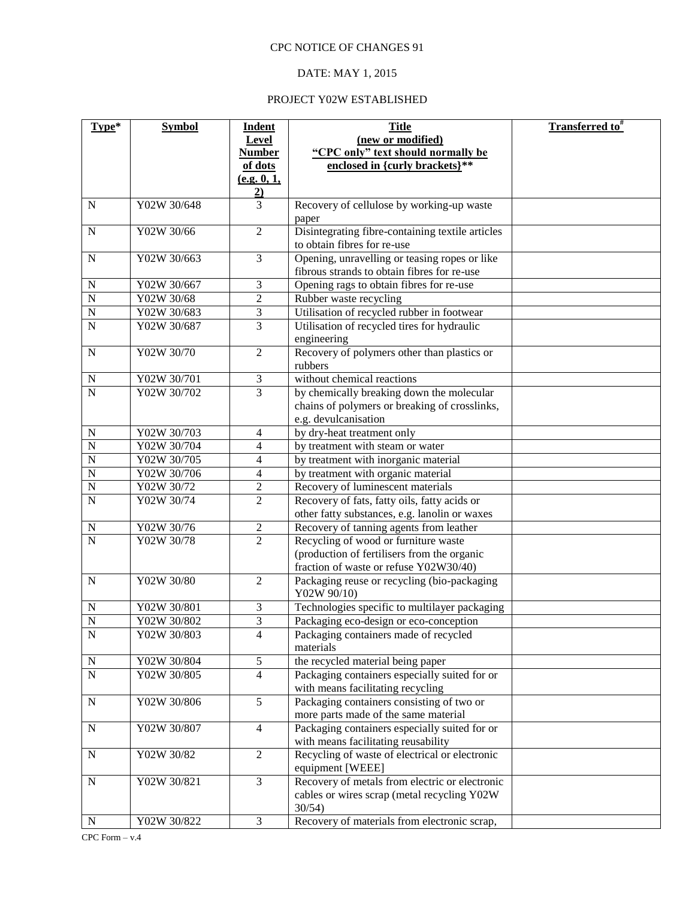# DATE: MAY 1, 2015

| Type*                       | <b>Symbol</b>              | Indent              | <b>Title</b>                                                                               | <b>Transferred to</b> # |
|-----------------------------|----------------------------|---------------------|--------------------------------------------------------------------------------------------|-------------------------|
|                             |                            | Level               | (new or modified)                                                                          |                         |
|                             |                            | <b>Number</b>       | "CPC only" text should normally be                                                         |                         |
|                             |                            | of dots             | enclosed in {curly brackets}**                                                             |                         |
|                             |                            | (e.g. 0, 1,         |                                                                                            |                         |
|                             |                            | $\frac{2}{3}$       |                                                                                            |                         |
| ${\bf N}$                   | Y02W 30/648                |                     | Recovery of cellulose by working-up waste                                                  |                         |
|                             |                            |                     | paper                                                                                      |                         |
| ${\bf N}$                   | Y02W 30/66                 | $\overline{2}$      | Disintegrating fibre-containing textile articles                                           |                         |
|                             |                            |                     | to obtain fibres for re-use                                                                |                         |
| ${\bf N}$                   | Y02W 30/663                | $\overline{3}$      | Opening, unravelling or teasing ropes or like                                              |                         |
|                             |                            |                     | fibrous strands to obtain fibres for re-use                                                |                         |
| N                           | Y02W 30/667                | 3                   | Opening rags to obtain fibres for re-use                                                   |                         |
| $\mathbf N$                 | Y02W 30/68                 | $\mathfrak{2}$      | Rubber waste recycling                                                                     |                         |
| $\mathbf N$                 | Y02W 30/683                | 3                   | Utilisation of recycled rubber in footwear                                                 |                         |
| $\overline{N}$              | Y02W 30/687                | 3                   | Utilisation of recycled tires for hydraulic                                                |                         |
|                             | Y02W 30/70                 | $\overline{2}$      | engineering                                                                                |                         |
| ${\bf N}$                   |                            |                     | Recovery of polymers other than plastics or<br>rubbers                                     |                         |
|                             |                            |                     | without chemical reactions                                                                 |                         |
| ${\bf N}$<br>$\overline{N}$ | Y02W 30/701<br>Y02W 30/702 | $\mathfrak{Z}$<br>3 |                                                                                            |                         |
|                             |                            |                     | by chemically breaking down the molecular<br>chains of polymers or breaking of crosslinks, |                         |
|                             |                            |                     | e.g. devulcanisation                                                                       |                         |
| N                           | Y02W 30/703                | $\overline{4}$      | by dry-heat treatment only                                                                 |                         |
| $\overline{N}$              | Y02W 30/704                | $\overline{4}$      | by treatment with steam or water                                                           |                         |
| $\overline{N}$              | Y02W 30/705                | $\overline{4}$      | by treatment with inorganic material                                                       |                         |
| $\overline{N}$              | Y02W 30/706                | $\overline{4}$      | by treatment with organic material                                                         |                         |
| $\overline{N}$              | Y02W 30/72                 | $\overline{c}$      | Recovery of luminescent materials                                                          |                         |
| $\overline{N}$              | Y02W 30/74                 | $\overline{2}$      | Recovery of fats, fatty oils, fatty acids or                                               |                         |
|                             |                            |                     | other fatty substances, e.g. lanolin or waxes                                              |                         |
| N                           | Y02W 30/76                 | $\overline{c}$      | Recovery of tanning agents from leather                                                    |                         |
| $\overline{N}$              | Y02W 30/78                 | $\overline{2}$      | Recycling of wood or furniture waste                                                       |                         |
|                             |                            |                     | (production of fertilisers from the organic                                                |                         |
|                             |                            |                     | fraction of waste or refuse Y02W30/40)                                                     |                         |
| ${\bf N}$                   | Y02W 30/80                 | $\overline{2}$      | Packaging reuse or recycling (bio-packaging                                                |                         |
|                             |                            |                     | Y02W 90/10)                                                                                |                         |
| $\mathbf N$                 | Y02W 30/801                | 3                   | Technologies specific to multilayer packaging                                              |                         |
| $\overline{\mathbf{N}}$     | Y02W 30/802                | 3                   | Packaging eco-design or eco-conception                                                     |                         |
| ${\bf N}$                   | Y02W 30/803                | $\overline{4}$      | Packaging containers made of recycled                                                      |                         |
|                             |                            |                     | materials                                                                                  |                         |
| $\mathbf N$                 | Y02W 30/804                | $\mathfrak{S}$      | the recycled material being paper                                                          |                         |
| $\overline{N}$              | Y02W 30/805                | $\overline{4}$      | Packaging containers especially suited for or                                              |                         |
|                             |                            |                     | with means facilitating recycling                                                          |                         |
| ${\bf N}$                   | Y02W 30/806                | $\overline{5}$      | Packaging containers consisting of two or                                                  |                         |
|                             |                            |                     | more parts made of the same material                                                       |                         |
| ${\bf N}$                   | Y02W 30/807                | $\overline{4}$      | Packaging containers especially suited for or                                              |                         |
|                             |                            |                     | with means facilitating reusability                                                        |                         |
| ${\bf N}$                   | Y02W 30/82                 | $\overline{2}$      | Recycling of waste of electrical or electronic                                             |                         |
| ${\bf N}$                   | Y02W 30/821                | $\overline{3}$      | equipment [WEEE]<br>Recovery of metals from electric or electronic                         |                         |
|                             |                            |                     | cables or wires scrap (metal recycling Y02W                                                |                         |
|                             |                            |                     | $30/54$ )                                                                                  |                         |
| ${\bf N}$                   | Y02W 30/822                | 3                   | Recovery of materials from electronic scrap,                                               |                         |
|                             |                            |                     |                                                                                            |                         |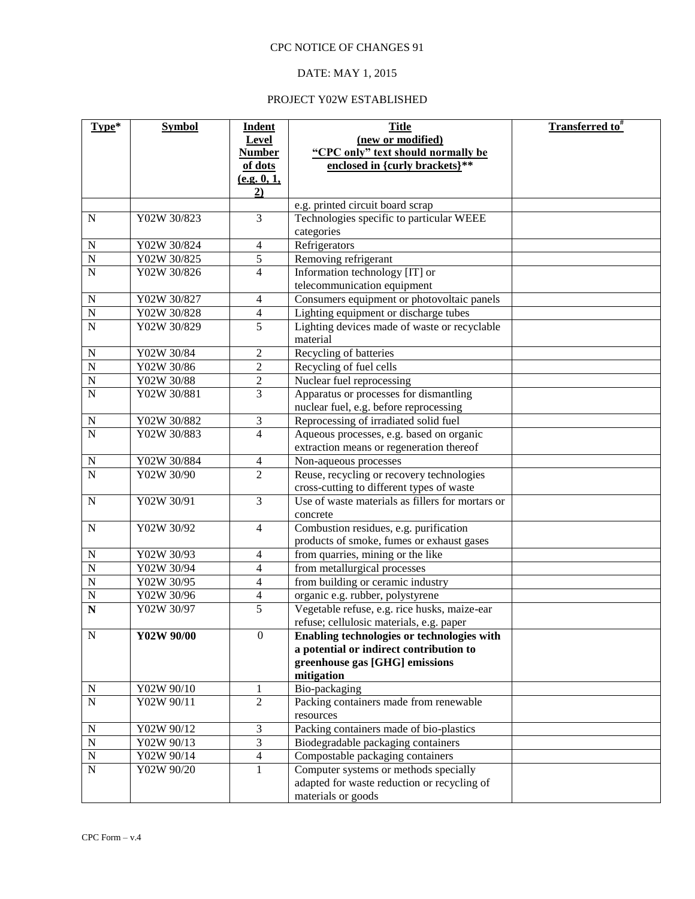# DATE: MAY 1, 2015

| Type*                              | <b>Symbol</b>              | <b>Indent</b>                    | <b>Title</b>                                             | <b>Transferred to</b> # |
|------------------------------------|----------------------------|----------------------------------|----------------------------------------------------------|-------------------------|
|                                    |                            | Level                            | (new or modified)                                        |                         |
|                                    |                            | <b>Number</b>                    | "CPC only" text should normally be                       |                         |
|                                    |                            | of dots                          | enclosed in {curly brackets}**                           |                         |
|                                    |                            | (e.g. 0, 1,                      |                                                          |                         |
|                                    |                            | 2)                               |                                                          |                         |
|                                    |                            |                                  | e.g. printed circuit board scrap                         |                         |
| ${\bf N}$                          | Y02W 30/823                | 3                                | Technologies specific to particular WEEE                 |                         |
|                                    |                            |                                  | categories                                               |                         |
| ${\bf N}$                          | Y02W 30/824                | $\overline{4}$                   | Refrigerators                                            |                         |
| $\overline{N}$                     | Y02W 30/825                | $\overline{5}$                   | Removing refrigerant                                     |                         |
| $\mathbf N$                        | Y02W 30/826                | $\overline{4}$                   | Information technology [IT] or                           |                         |
|                                    |                            |                                  | telecommunication equipment                              |                         |
| $\mathbf N$<br>$\overline{N}$      | Y02W 30/827<br>Y02W 30/828 | $\overline{4}$<br>$\overline{4}$ | Consumers equipment or photovoltaic panels               |                         |
| $\mathbf N$                        | Y02W 30/829                | 5                                | Lighting equipment or discharge tubes                    |                         |
|                                    |                            |                                  | Lighting devices made of waste or recyclable<br>material |                         |
| $\mathbf N$                        | Y02W 30/84                 | $\mathfrak{2}$                   | Recycling of batteries                                   |                         |
| $\overline{\rm N}$                 | Y02W 30/86                 | $\overline{c}$                   | Recycling of fuel cells                                  |                         |
| $\mathbf N$                        | Y02W 30/88                 | $\mathfrak{2}$                   | Nuclear fuel reprocessing                                |                         |
| N                                  | Y02W 30/881                | 3                                | Apparatus or processes for dismantling                   |                         |
|                                    |                            |                                  | nuclear fuel, e.g. before reprocessing                   |                         |
| ${\bf N}$                          | Y02W 30/882                | 3                                | Reprocessing of irradiated solid fuel                    |                         |
| $\overline{N}$                     | Y02W 30/883                | $\overline{4}$                   | Aqueous processes, e.g. based on organic                 |                         |
|                                    |                            |                                  | extraction means or regeneration thereof                 |                         |
| ${\bf N}$                          | Y02W 30/884                | $\overline{4}$                   | Non-aqueous processes                                    |                         |
| ${\bf N}$                          | Y02W 30/90                 | $\overline{2}$                   | Reuse, recycling or recovery technologies                |                         |
|                                    |                            |                                  | cross-cutting to different types of waste                |                         |
| ${\bf N}$                          | Y02W 30/91                 | 3                                | Use of waste materials as fillers for mortars or         |                         |
|                                    |                            |                                  | concrete                                                 |                         |
| ${\bf N}$                          | Y02W 30/92                 | $\overline{4}$                   | Combustion residues, e.g. purification                   |                         |
|                                    |                            |                                  | products of smoke, fumes or exhaust gases                |                         |
| N                                  | Y02W 30/93                 | $\overline{4}$                   | from quarries, mining or the like                        |                         |
| $\overline{N}$                     | Y02W 30/94                 | $\overline{4}$                   | from metallurgical processes                             |                         |
| $\overline{N}$                     | Y02W 30/95                 | 4                                | from building or ceramic industry                        |                         |
| $\overline{N}$                     | Y02W 30/96                 | $\overline{4}$                   | organic e.g. rubber, polystyrene                         |                         |
| $\overline{\overline{\mathbf{N}}}$ | Y02W 30/97                 | $\overline{5}$                   | Vegetable refuse, e.g. rice husks, maize-ear             |                         |
|                                    |                            |                                  | refuse; cellulosic materials, e.g. paper                 |                         |
| N                                  | Y02W 90/00                 | $\mathbf{0}$                     | Enabling technologies or technologies with               |                         |
|                                    |                            |                                  | a potential or indirect contribution to                  |                         |
|                                    |                            |                                  | greenhouse gas [GHG] emissions                           |                         |
|                                    |                            |                                  | mitigation                                               |                         |
| N<br>$\overline{N}$                | Y02W 90/10<br>Y02W 90/11   | $\overline{2}$                   | Bio-packaging<br>Packing containers made from renewable  |                         |
|                                    |                            |                                  | resources                                                |                         |
| $\mathbf N$                        | Y02W 90/12                 | 3                                | Packing containers made of bio-plastics                  |                         |
| $\mathbf N$                        | Y02W 90/13                 | $\overline{3}$                   | Biodegradable packaging containers                       |                         |
| ${\bf N}$                          | Y02W 90/14                 | $\overline{4}$                   | Compostable packaging containers                         |                         |
| $\mathbf N$                        | Y02W 90/20                 | $\mathbf{1}$                     | Computer systems or methods specially                    |                         |
|                                    |                            |                                  | adapted for waste reduction or recycling of              |                         |
|                                    |                            |                                  | materials or goods                                       |                         |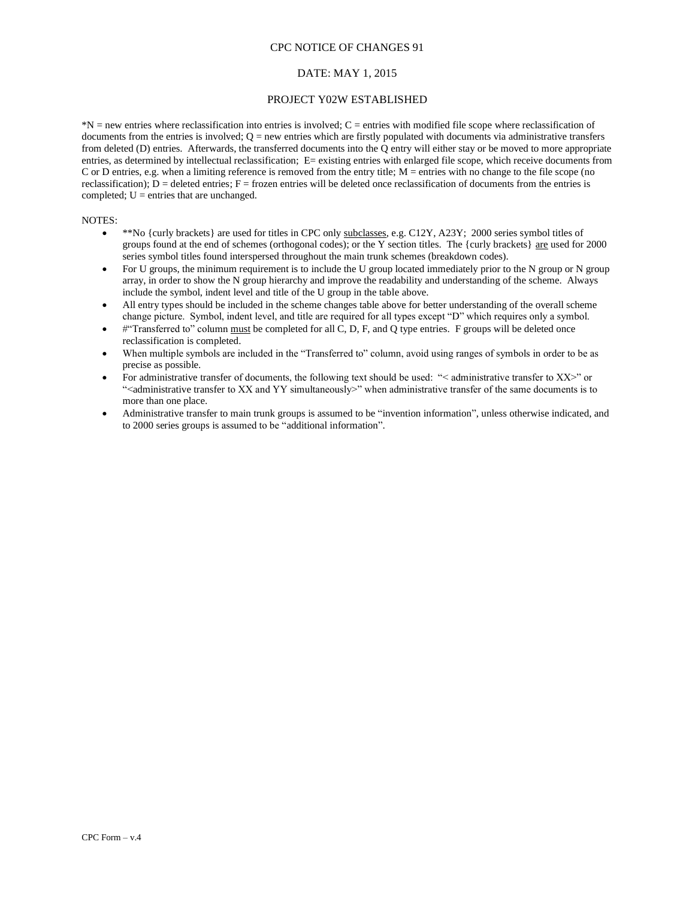#### DATE: MAY 1, 2015

#### PROJECT Y02W ESTABLISHED

 $N =$  new entries where reclassification into entries is involved;  $C =$  entries with modified file scope where reclassification of documents from the entries is involved;  $Q =$  new entries which are firstly populated with documents via administrative transfers from deleted (D) entries. Afterwards, the transferred documents into the Q entry will either stay or be moved to more appropriate entries, as determined by intellectual reclassification; E= existing entries with enlarged file scope, which receive documents from C or D entries, e.g. when a limiting reference is removed from the entry title;  $M =$  entries with no change to the file scope (no reclassification);  $D =$  deleted entries;  $F =$  frozen entries will be deleted once reclassification of documents from the entries is completed;  $U =$  entries that are unchanged.

#### NOTES:

- \*\*No {curly brackets} are used for titles in CPC only subclasses, e.g. C12Y, A23Y; 2000 series symbol titles of groups found at the end of schemes (orthogonal codes); or the  $\overline{Y}$  section titles. The {curly brackets} are used for 2000 series symbol titles found interspersed throughout the main trunk schemes (breakdown codes).
- For U groups, the minimum requirement is to include the U group located immediately prior to the N group or N group array, in order to show the N group hierarchy and improve the readability and understanding of the scheme. Always include the symbol, indent level and title of the U group in the table above.
- All entry types should be included in the scheme changes table above for better understanding of the overall scheme change picture. Symbol, indent level, and title are required for all types except "D" which requires only a symbol.
- #"Transferred to" column must be completed for all C, D, F, and Q type entries. F groups will be deleted once reclassification is completed.
- When multiple symbols are included in the "Transferred to" column, avoid using ranges of symbols in order to be as precise as possible.
- For administrative transfer of documents, the following text should be used: "< administrative transfer to XX>" or "<administrative transfer to XX and YY simultaneously>" when administrative transfer of the same documents is to more than one place.
- Administrative transfer to main trunk groups is assumed to be "invention information", unless otherwise indicated, and to 2000 series groups is assumed to be "additional information".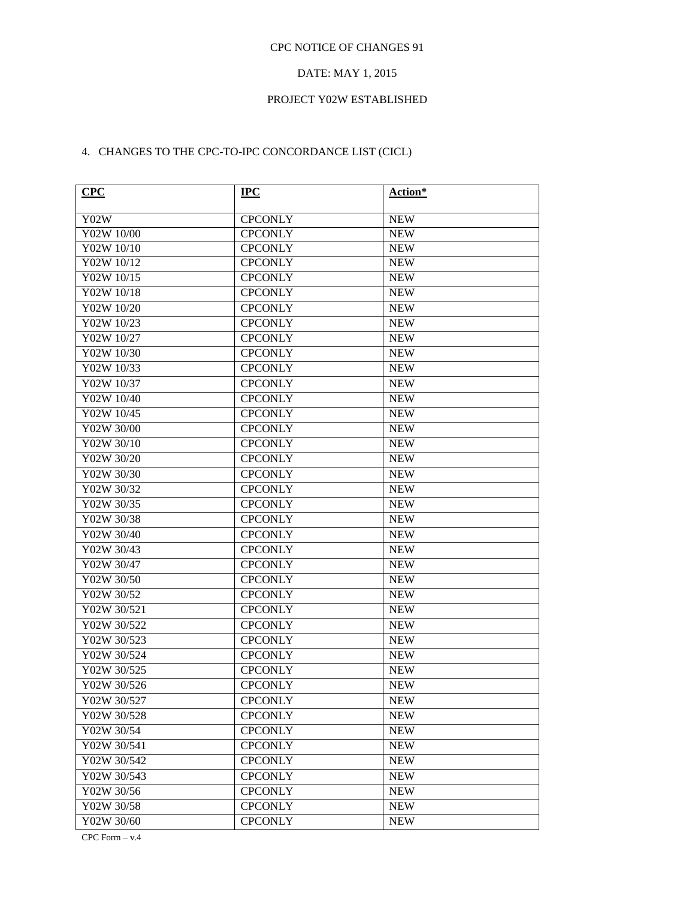# DATE: MAY 1, 2015

#### PROJECT Y02W ESTABLISHED

# 4. CHANGES TO THE CPC-TO-IPC CONCORDANCE LIST (CICL)

| <b>CPC</b>  | $_{\rm IPC}$   | <b>Action*</b> |
|-------------|----------------|----------------|
| Y02W        | <b>CPCONLY</b> | <b>NEW</b>     |
| Y02W 10/00  | <b>CPCONLY</b> | <b>NEW</b>     |
| Y02W 10/10  | <b>CPCONLY</b> | <b>NEW</b>     |
| Y02W 10/12  | <b>CPCONLY</b> | <b>NEW</b>     |
| Y02W 10/15  | <b>CPCONLY</b> | <b>NEW</b>     |
| Y02W 10/18  | <b>CPCONLY</b> | <b>NEW</b>     |
| Y02W 10/20  | <b>CPCONLY</b> | <b>NEW</b>     |
| Y02W 10/23  | <b>CPCONLY</b> | <b>NEW</b>     |
| Y02W 10/27  | <b>CPCONLY</b> | <b>NEW</b>     |
| Y02W 10/30  | <b>CPCONLY</b> | <b>NEW</b>     |
| Y02W 10/33  | <b>CPCONLY</b> | <b>NEW</b>     |
| Y02W 10/37  | <b>CPCONLY</b> | <b>NEW</b>     |
| Y02W 10/40  | <b>CPCONLY</b> | <b>NEW</b>     |
| Y02W 10/45  | <b>CPCONLY</b> | <b>NEW</b>     |
| Y02W 30/00  | <b>CPCONLY</b> | <b>NEW</b>     |
| Y02W 30/10  | <b>CPCONLY</b> | <b>NEW</b>     |
| Y02W 30/20  | <b>CPCONLY</b> | <b>NEW</b>     |
| Y02W 30/30  | <b>CPCONLY</b> | <b>NEW</b>     |
| Y02W 30/32  | <b>CPCONLY</b> | <b>NEW</b>     |
| Y02W 30/35  | <b>CPCONLY</b> | <b>NEW</b>     |
| Y02W 30/38  | <b>CPCONLY</b> | <b>NEW</b>     |
| Y02W 30/40  | <b>CPCONLY</b> | <b>NEW</b>     |
| Y02W 30/43  | <b>CPCONLY</b> | <b>NEW</b>     |
| Y02W 30/47  | <b>CPCONLY</b> | <b>NEW</b>     |
| Y02W 30/50  | <b>CPCONLY</b> | <b>NEW</b>     |
| Y02W 30/52  | <b>CPCONLY</b> | <b>NEW</b>     |
| Y02W 30/521 | <b>CPCONLY</b> | <b>NEW</b>     |
| Y02W 30/522 | <b>CPCONLY</b> | <b>NEW</b>     |
| Y02W 30/523 | <b>CPCONLY</b> | <b>NEW</b>     |
| Y02W 30/524 | <b>CPCONLY</b> | <b>NEW</b>     |
| Y02W 30/525 | <b>CPCONLY</b> | <b>NEW</b>     |
| Y02W 30/526 | <b>CPCONLY</b> | <b>NEW</b>     |
| Y02W 30/527 | <b>CPCONLY</b> | <b>NEW</b>     |
| Y02W 30/528 | <b>CPCONLY</b> | <b>NEW</b>     |
| Y02W 30/54  | <b>CPCONLY</b> | <b>NEW</b>     |
| Y02W 30/541 | <b>CPCONLY</b> | <b>NEW</b>     |
| Y02W 30/542 | <b>CPCONLY</b> | <b>NEW</b>     |
| Y02W 30/543 | <b>CPCONLY</b> | <b>NEW</b>     |
| Y02W 30/56  | <b>CPCONLY</b> | <b>NEW</b>     |
| Y02W 30/58  | <b>CPCONLY</b> | <b>NEW</b>     |
| Y02W 30/60  | <b>CPCONLY</b> | <b>NEW</b>     |

CPC Form – v.4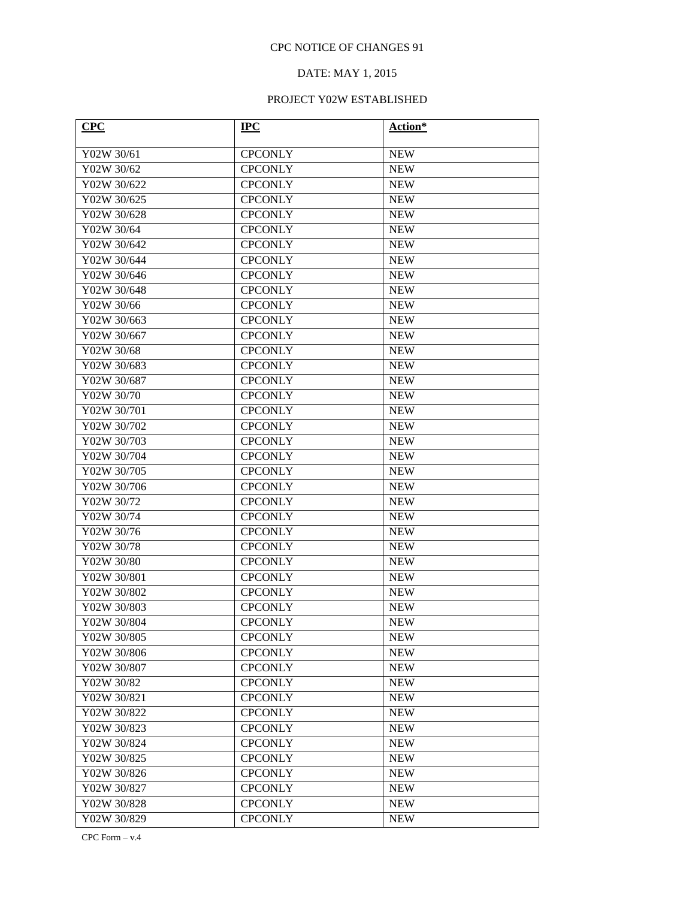# DATE: MAY 1, 2015

| CPC                     | $IPC$          | Action*                  |
|-------------------------|----------------|--------------------------|
| Y02W 30/61              | <b>CPCONLY</b> |                          |
| Y02W 30/62              | <b>CPCONLY</b> | <b>NEW</b><br><b>NEW</b> |
| Y02W 30/622             | <b>CPCONLY</b> | <b>NEW</b>               |
|                         |                |                          |
| Y02W 30/625             | <b>CPCONLY</b> | <b>NEW</b>               |
| Y02W 30/628             | <b>CPCONLY</b> | <b>NEW</b>               |
| Y02W 30/64              | <b>CPCONLY</b> | <b>NEW</b>               |
| Y02W 30/642             | <b>CPCONLY</b> | <b>NEW</b>               |
| Y02W 30/644             | <b>CPCONLY</b> | <b>NEW</b>               |
| Y02W 30/646             | <b>CPCONLY</b> | <b>NEW</b>               |
| Y02W 30/648             | <b>CPCONLY</b> | <b>NEW</b>               |
| Y02W 30/66              | <b>CPCONLY</b> | <b>NEW</b>               |
| Y02W 30/663             | <b>CPCONLY</b> | <b>NEW</b>               |
| Y02W 30/667             | <b>CPCONLY</b> | <b>NEW</b>               |
| Y02W 30/68              | <b>CPCONLY</b> | <b>NEW</b>               |
| Y02W 30/683             | <b>CPCONLY</b> | <b>NEW</b>               |
| Y02W 30/687             | <b>CPCONLY</b> | <b>NEW</b>               |
| Y02W 30/70              | <b>CPCONLY</b> | <b>NEW</b>               |
| Y02W 30/701             | <b>CPCONLY</b> | <b>NEW</b>               |
| Y02W 30/702             | <b>CPCONLY</b> | <b>NEW</b>               |
| Y02W 30/703             | <b>CPCONLY</b> | <b>NEW</b>               |
| Y02W 30/704             | <b>CPCONLY</b> | <b>NEW</b>               |
| Y02W 30/705             | <b>CPCONLY</b> | <b>NEW</b>               |
| Y02W 30/706             | <b>CPCONLY</b> | <b>NEW</b>               |
| Y02W 30/72              | <b>CPCONLY</b> | <b>NEW</b>               |
| Y02W 30/74              | <b>CPCONLY</b> | <b>NEW</b>               |
| $\overline{Y02W}$ 30/76 | <b>CPCONLY</b> | <b>NEW</b>               |
| Y02W 30/78              | <b>CPCONLY</b> | <b>NEW</b>               |
| Y02W 30/80              | <b>CPCONLY</b> | <b>NEW</b>               |
| Y02W 30/801             | <b>CPCONLY</b> | <b>NEW</b>               |
| Y02W 30/802             | <b>CPCONLY</b> | <b>NEW</b>               |
| Y02W 30/803             | <b>CPCONLY</b> | <b>NEW</b>               |
| Y02W 30/804             | <b>CPCONLY</b> | <b>NEW</b>               |
| Y02W 30/805             | <b>CPCONLY</b> | <b>NEW</b>               |
| Y02W 30/806             | <b>CPCONLY</b> | <b>NEW</b>               |
| Y02W 30/807             | <b>CPCONLY</b> | <b>NEW</b>               |
| Y02W 30/82              | <b>CPCONLY</b> | <b>NEW</b>               |
| Y02W 30/821             | <b>CPCONLY</b> | <b>NEW</b>               |
| Y02W 30/822             | <b>CPCONLY</b> | <b>NEW</b>               |
| Y02W 30/823             | <b>CPCONLY</b> | <b>NEW</b>               |
| Y02W 30/824             | <b>CPCONLY</b> | <b>NEW</b>               |
| Y02W 30/825             | <b>CPCONLY</b> | <b>NEW</b>               |
| Y02W 30/826             | <b>CPCONLY</b> | <b>NEW</b>               |
| Y02W 30/827             | <b>CPCONLY</b> | <b>NEW</b>               |
| Y02W 30/828             | <b>CPCONLY</b> | <b>NEW</b>               |
| Y02W 30/829             | <b>CPCONLY</b> | <b>NEW</b>               |
|                         |                |                          |